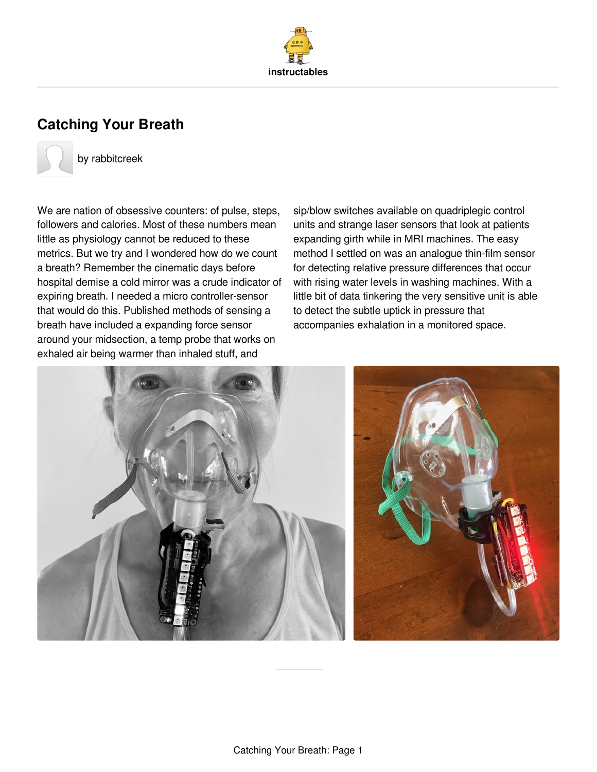

# **[Catching](http://www.instructables.com/id/Catching-Your-Breath/) Your Breath**



by [rabbitcreek](http://www.instructables.com/member/rabbitcreek/)

We are nation of obsessive counters: of pulse, steps, followers and calories. Most of these numbers mean little as physiology cannot be reduced to these metrics. But we try and I wondered how do we count a breath? Remember the cinematic days before hospital demise a cold mirror was a crude indicator of expiring breath. I needed a micro controller-sensor that would do this. Published methods of sensing a breath have included a expanding force sensor around your midsection, a temp probe that works on exhaled air being warmer than inhaled stuff, and

sip/blow switches available on quadriplegic control units and strange laser sensors that look at patients expanding girth while in MRI machines. The easy method I settled on was an analogue thin-film sensor for detecting relative pressure differences that occur with rising water levels in washing machines. With a little bit of data tinkering the very sensitive unit is able to detect the subtle uptick in pressure that accompanies exhalation in a monitored space.

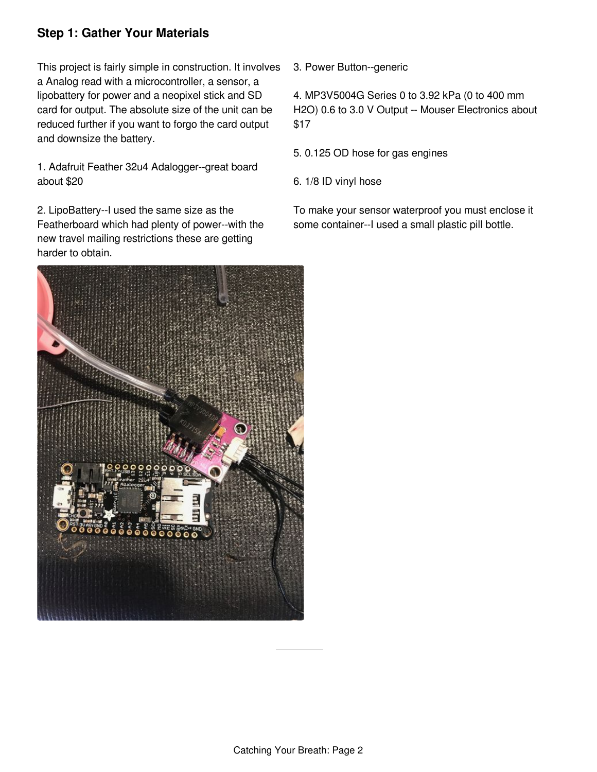## **Step 1: Gather Your Materials**

This project is fairly simple in construction. It involves a Analog read with a microcontroller, a sensor, a lipobattery for power and a neopixel stick and SD card for output. The absolute size of the unit can be reduced further if you want to forgo the card output and downsize the battery.

1. Adafruit Feather 32u4 Adalogger--great board about \$20

2. LipoBattery--I used the same size as the Featherboard which had plenty of power--with the new travel mailing restrictions these are getting harder to obtain.



4. MP3V5004G Series 0 to 3.92 kPa (0 to 400 mm H2O) 0.6 to 3.0 V Output -- Mouser Electronics about \$17

5. 0.125 OD hose for gas engines

6. 1/8 ID vinyl hose

To make your sensor waterproof you must enclose it some container--I used a small plastic pill bottle.

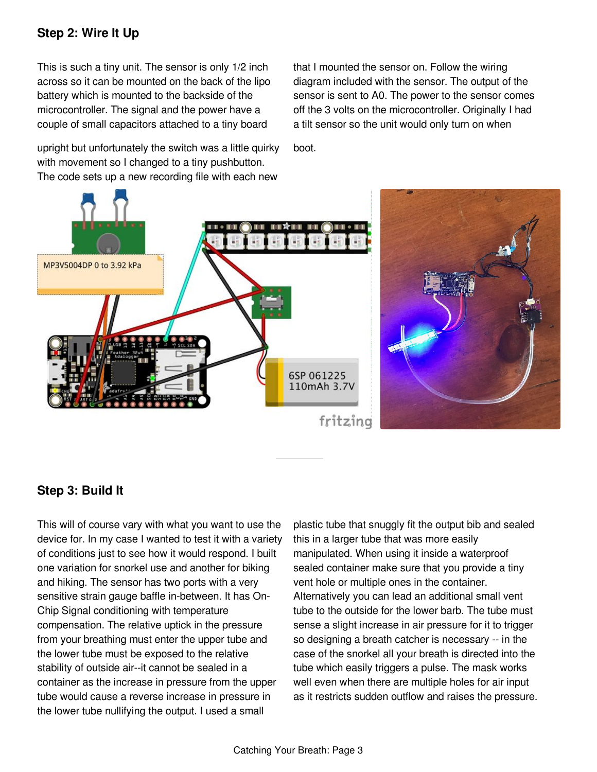## **Step 2: Wire It Up**

This is such a tiny unit. The sensor is only 1/2 inch across so it can be mounted on the back of the lipo battery which is mounted to the backside of the microcontroller. The signal and the power have a couple of small capacitors attached to a tiny board

upright but unfortunately the switch was a little quirky with movement so I changed to a tiny pushbutton. The code sets up a new recording file with each new

that I mounted the sensor on. Follow the wiring diagram included with the sensor. The output of the sensor is sent to A0. The power to the sensor comes off the 3 volts on the microcontroller. Originally I had a tilt sensor so the unit would only turn on when

boot.





#### **Step 3: Build It**

This will of course vary with what you want to use the device for. In my case I wanted to test it with a variety of conditions just to see how it would respond. I built one variation for snorkel use and another for biking and hiking. The sensor has two ports with a very sensitive strain gauge baffle in-between. It has On-Chip Signal conditioning with temperature compensation. The relative uptick in the pressure from your breathing must enter the upper tube and the lower tube must be exposed to the relative stability of outside air--it cannot be sealed in a container as the increase in pressure from the upper tube would cause a reverse increase in pressure in the lower tube nullifying the output. I used a small

plastic tube that snuggly fit the output bib and sealed this in a larger tube that was more easily manipulated. When using it inside a waterproof sealed container make sure that you provide a tiny vent hole or multiple ones in the container. Alternatively you can lead an additional small vent tube to the outside for the lower barb. The tube must sense a slight increase in air pressure for it to trigger so designing a breath catcher is necessary -- in the case of the snorkel all your breath is directed into the tube which easily triggers a pulse. The mask works well even when there are multiple holes for air input as it restricts sudden outflow and raises the pressure.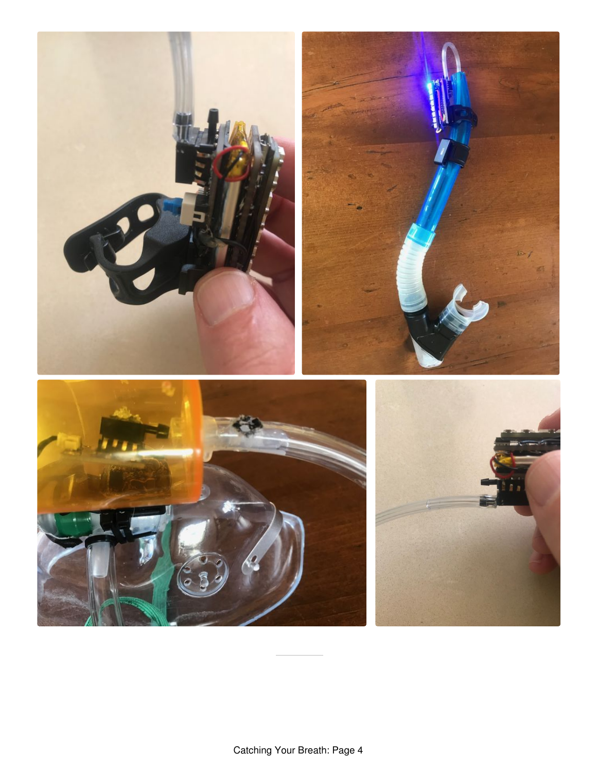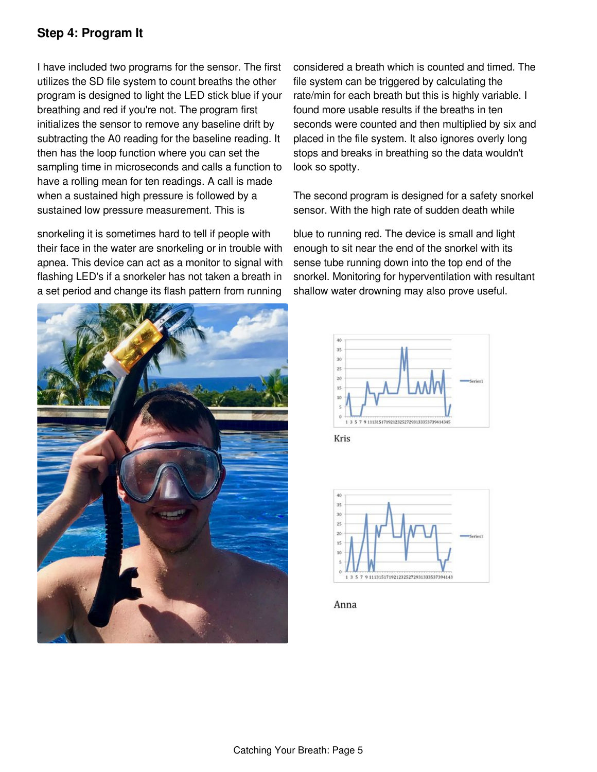## **Step 4: Program It**

I have included two programs for the sensor. The first utilizes the SD file system to count breaths the other program is designed to light the LED stick blue if your breathing and red if you're not. The program first initializes the sensor to remove any baseline drift by subtracting the A0 reading for the baseline reading. It then has the loop function where you can set the sampling time in microseconds and calls a function to have a rolling mean for ten readings. A call is made when a sustained high pressure is followed by a sustained low pressure measurement. This is

snorkeling it is sometimes hard to tell if people with their face in the water are snorkeling or in trouble with apnea. This device can act as a monitor to signal with flashing LED's if a snorkeler has not taken a breath in a set period and change its flash pattern from running



considered a breath which is counted and timed. The file system can be triggered by calculating the rate/min for each breath but this is highly variable. I found more usable results if the breaths in ten seconds were counted and then multiplied by six and placed in the file system. It also ignores overly long stops and breaks in breathing so the data wouldn't look so spotty.

The second program is designed for a safety snorkel sensor. With the high rate of sudden death while

blue to running red. The device is small and light enough to sit near the end of the snorkel with its sense tube running down into the top end of the snorkel. Monitoring for hyperventilation with resultant shallow water drowning may also prove useful.







Anna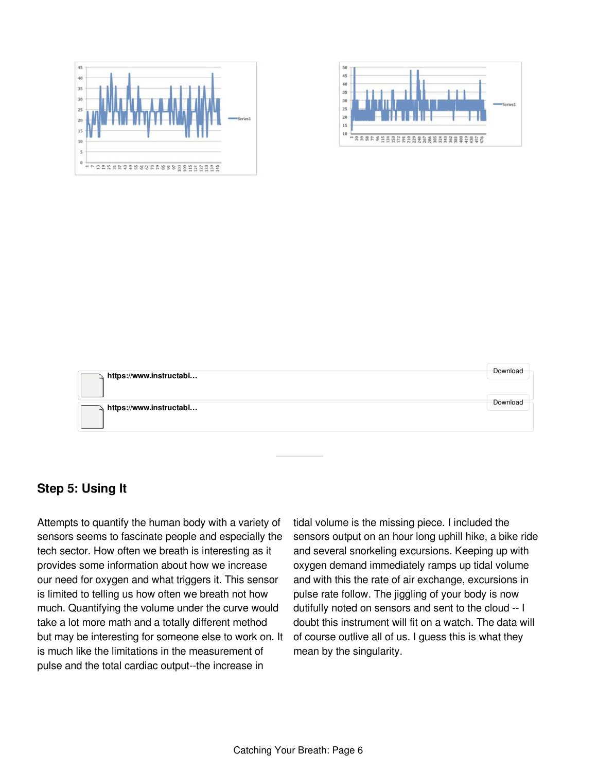





#### **Step 5: Using It**

Attempts to quantify the human body with a variety of sensors seems to fascinate people and especially the tech sector. How often we breath is interesting as it provides some information about how we increase our need for oxygen and what triggers it. This sensor is limited to telling us how often we breath not how much. Quantifying the volume under the curve would take a lot more math and a totally different method but may be interesting for someone else to work on. It is much like the limitations in the measurement of pulse and the total cardiac output--the increase in

tidal volume is the missing piece. I included the sensors output on an hour long uphill hike, a bike ride and several snorkeling excursions. Keeping up with oxygen demand immediately ramps up tidal volume and with this the rate of air exchange, excursions in pulse rate follow. The jiggling of your body is now dutifully noted on sensors and sent to the cloud -- I doubt this instrument will fit on a watch. The data will of course outlive all of us. I guess this is what they mean by the singularity.